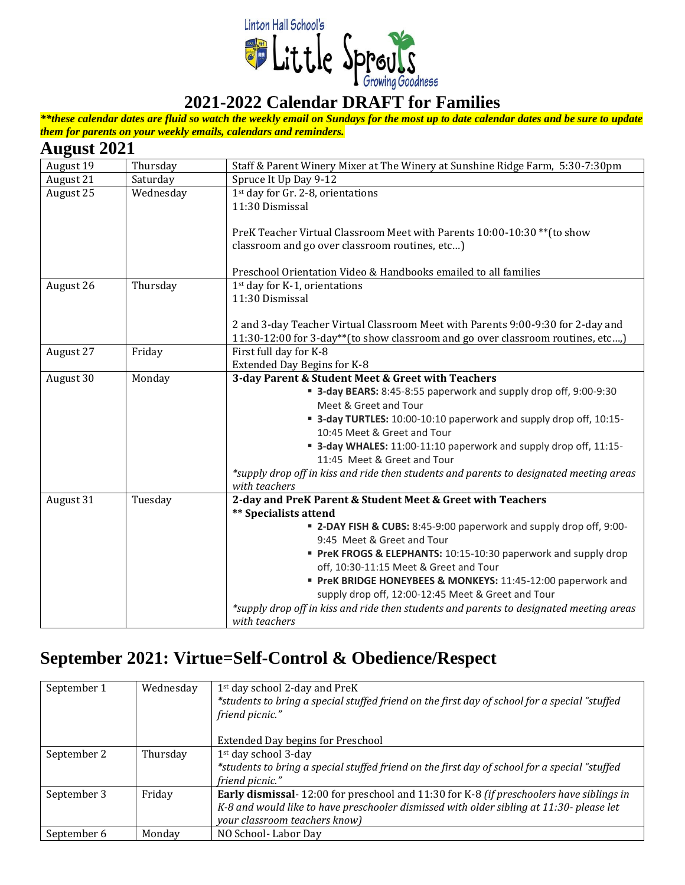

*\*\*these calendar dates are fluid so watch the weekly email on Sundays for the most up to date calendar dates and be sure to update them for parents on your weekly emails, calendars and reminders.*

#### **August 2021**

| o<br>August 19 | Thursday  | Staff & Parent Winery Mixer at The Winery at Sunshine Ridge Farm, 5:30-7:30pm           |
|----------------|-----------|-----------------------------------------------------------------------------------------|
| August 21      | Saturday  | Spruce It Up Day 9-12                                                                   |
| August 25      | Wednesday | 1 <sup>st</sup> day for Gr. 2-8, orientations                                           |
|                |           | 11:30 Dismissal                                                                         |
|                |           |                                                                                         |
|                |           | PreK Teacher Virtual Classroom Meet with Parents 10:00-10:30 ** (to show                |
|                |           | classroom and go over classroom routines, etc)                                          |
|                |           | Preschool Orientation Video & Handbooks emailed to all families                         |
| August 26      | Thursday  | 1st day for K-1, orientations                                                           |
|                |           | 11:30 Dismissal                                                                         |
|                |           |                                                                                         |
|                |           | 2 and 3-day Teacher Virtual Classroom Meet with Parents 9:00-9:30 for 2-day and         |
|                |           | 11:30-12:00 for 3-day**(to show classroom and go over classroom routines, etc,)         |
| August 27      | Friday    | First full day for K-8                                                                  |
|                |           | Extended Day Begins for K-8                                                             |
| August 30      | Monday    | 3-day Parent & Student Meet & Greet with Teachers                                       |
|                |           | " 3-day BEARS: 8:45-8:55 paperwork and supply drop off, 9:00-9:30                       |
|                |           | Meet & Greet and Tour                                                                   |
|                |           | " 3-day TURTLES: 10:00-10:10 paperwork and supply drop off, 10:15-                      |
|                |           | 10:45 Meet & Greet and Tour                                                             |
|                |           | " 3-day WHALES: 11:00-11:10 paperwork and supply drop off, 11:15-                       |
|                |           | 11:45 Meet & Greet and Tour                                                             |
|                |           | *supply drop off in kiss and ride then students and parents to designated meeting areas |
|                |           | with teachers                                                                           |
| August 31      | Tuesday   | 2-day and PreK Parent & Student Meet & Greet with Teachers                              |
|                |           | <b>**</b> Specialists attend                                                            |
|                |           | " 2-DAY FISH & CUBS: 8:45-9:00 paperwork and supply drop off, 9:00-                     |
|                |           | 9:45 Meet & Greet and Tour                                                              |
|                |           | PreK FROGS & ELEPHANTS: 10:15-10:30 paperwork and supply drop                           |
|                |           | off, 10:30-11:15 Meet & Greet and Tour                                                  |
|                |           | PreK BRIDGE HONEYBEES & MONKEYS: 11:45-12:00 paperwork and                              |
|                |           | supply drop off, 12:00-12:45 Meet & Greet and Tour                                      |
|                |           | *supply drop off in kiss and ride then students and parents to designated meeting areas |
|                |           | with teachers                                                                           |

#### **September 2021: Virtue=Self-Control & Obedience/Respect**

| September 1 | Wednesday | 1 <sup>st</sup> day school 2-day and PreK<br>*students to bring a special stuffed friend on the first day of school for a special "stuffed<br>friend picnic." |
|-------------|-----------|---------------------------------------------------------------------------------------------------------------------------------------------------------------|
|             |           | <b>Extended Day begins for Preschool</b>                                                                                                                      |
| September 2 | Thursday  | 1 <sup>st</sup> day school 3-day                                                                                                                              |
|             |           | *students to bring a special stuffed friend on the first day of school for a special "stuffed<br>friend picnic."                                              |
| September 3 | Friday    | Early dismissal-12:00 for preschool and 11:30 for K-8 (if preschoolers have siblings in                                                                       |
|             |           | K-8 and would like to have preschooler dismissed with older sibling at 11:30- please let                                                                      |
|             |           | your classroom teachers know)                                                                                                                                 |
| September 6 | Monday    | NO School-Labor Day                                                                                                                                           |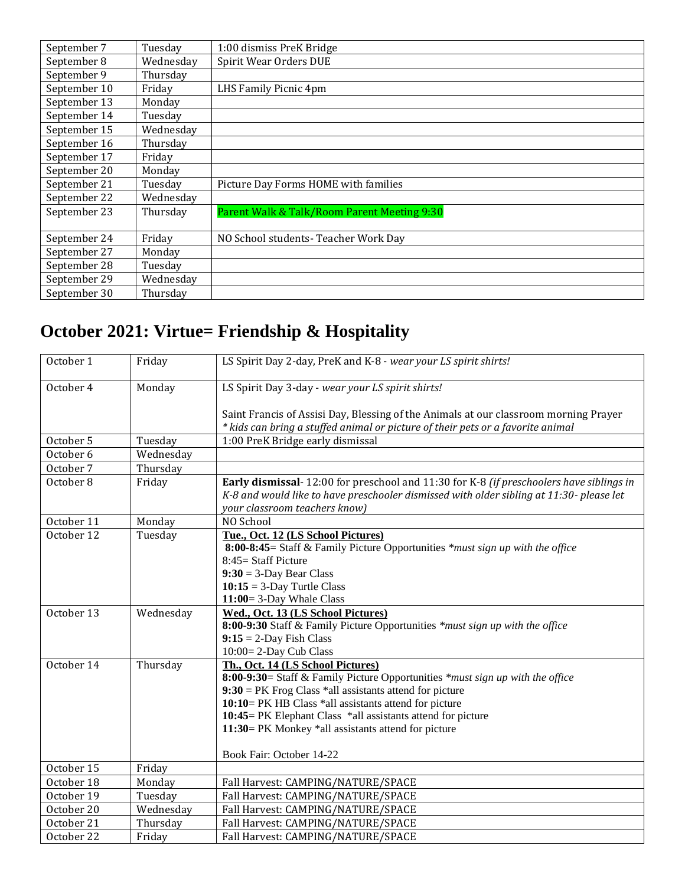| September 7  | Tuesday   | 1:00 dismiss PreK Bridge                    |
|--------------|-----------|---------------------------------------------|
| September 8  | Wednesday | Spirit Wear Orders DUE                      |
| September 9  | Thursday  |                                             |
| September 10 | Friday    | LHS Family Picnic 4pm                       |
| September 13 | Monday    |                                             |
| September 14 | Tuesday   |                                             |
| September 15 | Wednesday |                                             |
| September 16 | Thursday  |                                             |
| September 17 | Friday    |                                             |
| September 20 | Monday    |                                             |
| September 21 | Tuesday   | Picture Day Forms HOME with families        |
| September 22 | Wednesday |                                             |
| September 23 | Thursday  | Parent Walk & Talk/Room Parent Meeting 9:30 |
|              |           |                                             |
| September 24 | Friday    | NO School students-Teacher Work Day         |
| September 27 | Monday    |                                             |
| September 28 | Tuesday   |                                             |
| September 29 | Wednesday |                                             |
| September 30 | Thursday  |                                             |

# **October 2021: Virtue= Friendship & Hospitality**

| October 1  | Friday    | LS Spirit Day 2-day, PreK and K-8 - wear your LS spirit shirts!                          |
|------------|-----------|------------------------------------------------------------------------------------------|
| October 4  | Monday    | LS Spirit Day 3-day - wear your LS spirit shirts!                                        |
|            |           |                                                                                          |
|            |           | Saint Francis of Assisi Day, Blessing of the Animals at our classroom morning Prayer     |
|            |           | * kids can bring a stuffed animal or picture of their pets or a favorite animal          |
| October 5  | Tuesday   | 1:00 PreK Bridge early dismissal                                                         |
| October 6  | Wednesday |                                                                                          |
| October 7  | Thursday  |                                                                                          |
| October 8  | Friday    | Early dismissal- 12:00 for preschool and 11:30 for K-8 (if preschoolers have siblings in |
|            |           | K-8 and would like to have preschooler dismissed with older sibling at 11:30- please let |
|            |           | your classroom teachers know)                                                            |
| October 11 | Monday    | NO School                                                                                |
| October 12 | Tuesday   | Tue., Oct. 12 (LS School Pictures)                                                       |
|            |           | 8:00-8:45= Staff & Family Picture Opportunities *must sign up with the office            |
|            |           | 8:45 = Staff Picture                                                                     |
|            |           | $9:30 = 3$ -Day Bear Class                                                               |
|            |           | $10:15 = 3$ -Day Turtle Class                                                            |
|            |           | 11:00=3-Day Whale Class                                                                  |
| October 13 | Wednesday | Wed., Oct. 13 (LS School Pictures)                                                       |
|            |           | 8:00-9:30 Staff & Family Picture Opportunities *must sign up with the office             |
|            |           | $9:15 = 2$ -Day Fish Class                                                               |
|            |           | 10:00=2-Day Cub Class                                                                    |
| October 14 | Thursday  | Th., Oct. 14 (LS School Pictures)                                                        |
|            |           | 8:00-9:30= Staff & Family Picture Opportunities *must sign up with the office            |
|            |           | $9:30 = PK$ Frog Class *all assistants attend for picture                                |
|            |           | 10:10= PK HB Class *all assistants attend for picture                                    |
|            |           | 10:45 = PK Elephant Class *all assistants attend for picture                             |
|            |           | 11:30= PK Monkey *all assistants attend for picture                                      |
|            |           | Book Fair: October 14-22                                                                 |
| October 15 | Friday    |                                                                                          |
| October 18 | Monday    | Fall Harvest: CAMPING/NATURE/SPACE                                                       |
| October 19 | Tuesday   | Fall Harvest: CAMPING/NATURE/SPACE                                                       |
| October 20 | Wednesday | Fall Harvest: CAMPING/NATURE/SPACE                                                       |
| October 21 | Thursday  | Fall Harvest: CAMPING/NATURE/SPACE                                                       |
| October 22 | Friday    | Fall Harvest: CAMPING/NATURE/SPACE                                                       |
|            |           |                                                                                          |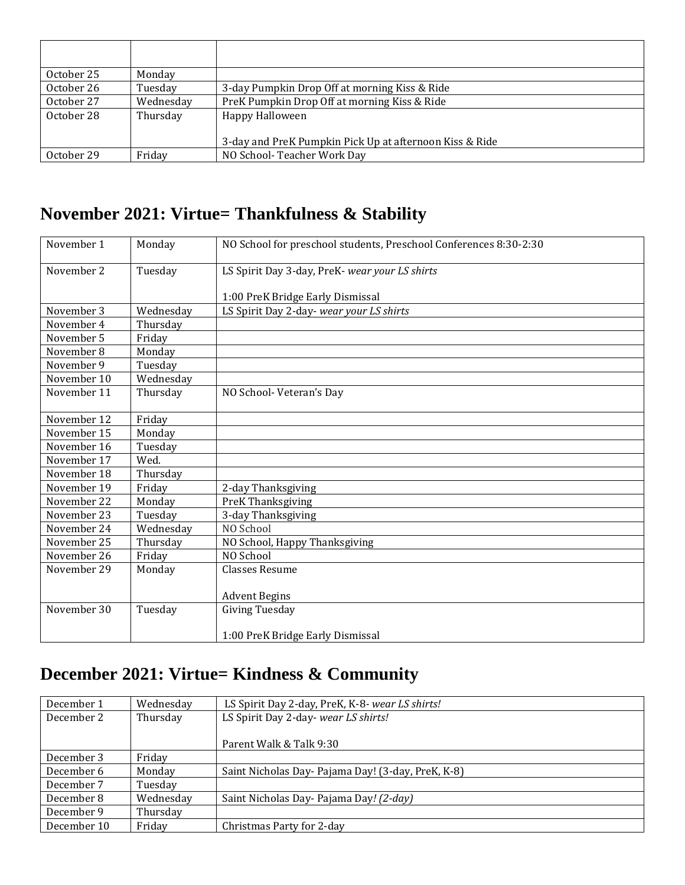| October 25 | Monday    |                                                         |
|------------|-----------|---------------------------------------------------------|
| October 26 | Tuesday   | 3-day Pumpkin Drop Off at morning Kiss & Ride           |
| October 27 | Wednesday | PreK Pumpkin Drop Off at morning Kiss & Ride            |
| October 28 | Thursday  | Happy Halloween                                         |
|            |           |                                                         |
|            |           | 3-day and PreK Pumpkin Pick Up at afternoon Kiss & Ride |
| October 29 | Fridav    | NO School-Teacher Work Day                              |

### **November 2021: Virtue= Thankfulness & Stability**

| November 1  | Monday    | NO School for preschool students, Preschool Conferences 8:30-2:30 |
|-------------|-----------|-------------------------------------------------------------------|
| November 2  | Tuesday   | LS Spirit Day 3-day, PreK- wear your LS shirts                    |
|             |           |                                                                   |
|             |           | 1:00 PreK Bridge Early Dismissal                                  |
| November 3  | Wednesday | LS Spirit Day 2-day- wear your LS shirts                          |
| November 4  | Thursday  |                                                                   |
| November 5  | Friday    |                                                                   |
| November 8  | Monday    |                                                                   |
| November 9  | Tuesday   |                                                                   |
| November 10 | Wednesday |                                                                   |
| November 11 | Thursday  | NO School-Veteran's Day                                           |
| November 12 | Friday    |                                                                   |
| November 15 | Monday    |                                                                   |
| November 16 | Tuesday   |                                                                   |
| November 17 | Wed.      |                                                                   |
| November 18 | Thursday  |                                                                   |
| November 19 | Friday    | 2-day Thanksgiving                                                |
| November 22 | Monday    | PreK Thanksgiving                                                 |
| November 23 | Tuesday   | 3-day Thanksgiving                                                |
| November 24 | Wednesday | NO School                                                         |
| November 25 | Thursday  | NO School, Happy Thanksgiving                                     |
| November 26 | Friday    | NO School                                                         |
| November 29 | Monday    | <b>Classes Resume</b>                                             |
|             |           |                                                                   |
|             |           | <b>Advent Begins</b>                                              |
| November 30 | Tuesday   | <b>Giving Tuesday</b>                                             |
|             |           | 1:00 PreK Bridge Early Dismissal                                  |

## **December 2021: Virtue= Kindness & Community**

| December 1  | Wednesday | LS Spirit Day 2-day, PreK, K-8- wear LS shirts!    |
|-------------|-----------|----------------------------------------------------|
| December 2  | Thursday  | LS Spirit Day 2-day- wear LS shirts!               |
|             |           |                                                    |
|             |           | Parent Walk & Talk 9:30                            |
| December 3  | Friday    |                                                    |
| December 6  | Monday    | Saint Nicholas Day- Pajama Day! (3-day, PreK, K-8) |
| December 7  | Tuesday   |                                                    |
| December 8  | Wednesday | Saint Nicholas Day- Pajama Day! (2-day)            |
| December 9  | Thursday  |                                                    |
| December 10 | Friday    | Christmas Party for 2-day                          |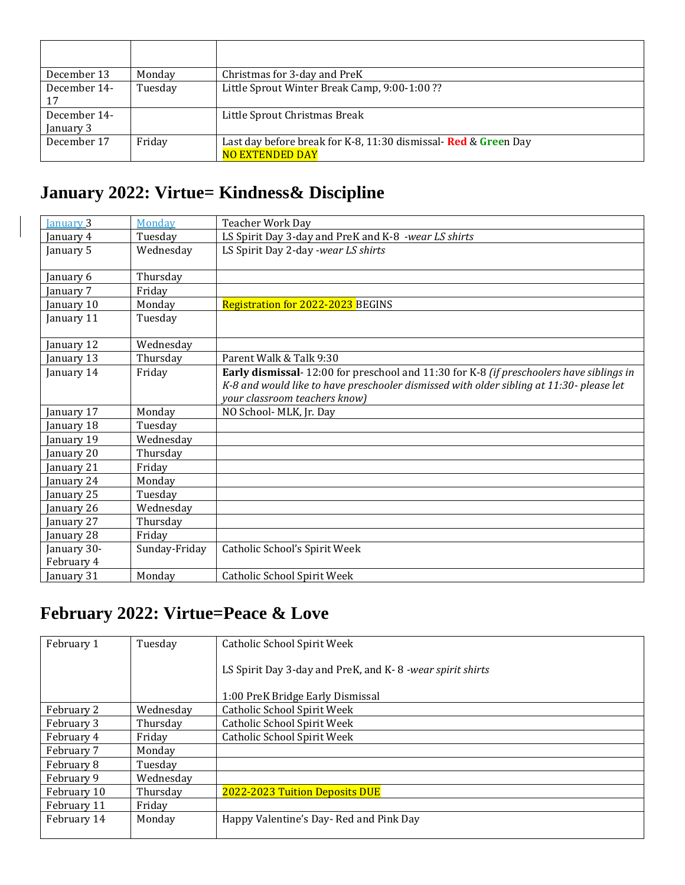| December 13  | Monday  | Christmas for 3-day and PreK                                   |
|--------------|---------|----------------------------------------------------------------|
| December 14- | Tuesday | Little Sprout Winter Break Camp, 9:00-1:00 ??                  |
| 17           |         |                                                                |
| December 14- |         | Little Sprout Christmas Break                                  |
| January 3    |         |                                                                |
| December 17  | Friday  | Last day before break for K-8, 11:30 dismissal-Red & Green Day |
|              |         | <b>NO EXTENDED DAY</b>                                         |

#### **January 2022: Virtue= Kindness& Discipline**

| January 3                 | Monday        | <b>Teacher Work Day</b>                                                                                                                                                                                              |
|---------------------------|---------------|----------------------------------------------------------------------------------------------------------------------------------------------------------------------------------------------------------------------|
| January 4                 | Tuesday       | LS Spirit Day 3-day and PreK and K-8 -wear LS shirts                                                                                                                                                                 |
| January 5                 | Wednesday     | LS Spirit Day 2-day -wear LS shirts                                                                                                                                                                                  |
| January 6                 | Thursday      |                                                                                                                                                                                                                      |
| anuary 7                  | Friday        |                                                                                                                                                                                                                      |
| January 10                | Monday        | <b>Registration for 2022-2023 BEGINS</b>                                                                                                                                                                             |
| January 11                | Tuesday       |                                                                                                                                                                                                                      |
| January 12                | Wednesday     |                                                                                                                                                                                                                      |
| January 13                | Thursday      | Parent Walk & Talk 9:30                                                                                                                                                                                              |
| January 14                | Friday        | Early dismissal-12:00 for preschool and 11:30 for K-8 (if preschoolers have siblings in<br>K-8 and would like to have preschooler dismissed with older sibling at 11:30- please let<br>your classroom teachers know) |
| January 17                | Monday        | NO School- MLK, Jr. Day                                                                                                                                                                                              |
| January 18                | Tuesday       |                                                                                                                                                                                                                      |
| January 19                | Wednesday     |                                                                                                                                                                                                                      |
| January 20                | Thursday      |                                                                                                                                                                                                                      |
| January 21                | Friday        |                                                                                                                                                                                                                      |
| January 24                | Monday        |                                                                                                                                                                                                                      |
| January 25                | Tuesday       |                                                                                                                                                                                                                      |
| January 26                | Wednesday     |                                                                                                                                                                                                                      |
| January 27                | Thursday      |                                                                                                                                                                                                                      |
| January 28                | Friday        |                                                                                                                                                                                                                      |
| January 30-<br>February 4 | Sunday-Friday | Catholic School's Spirit Week                                                                                                                                                                                        |
| January 31                | Monday        | Catholic School Spirit Week                                                                                                                                                                                          |

### **February 2022: Virtue=Peace & Love**

| February 1  | Tuesday   | Catholic School Spirit Week                              |
|-------------|-----------|----------------------------------------------------------|
|             |           | LS Spirit Day 3-day and PreK, and K-8-wear spirit shirts |
|             |           | 1:00 PreK Bridge Early Dismissal                         |
| February 2  | Wednesdav | Catholic School Spirit Week                              |
| February 3  | Thursday  | Catholic School Spirit Week                              |
| February 4  | Friday    | Catholic School Spirit Week                              |
| February 7  | Monday    |                                                          |
| February 8  | Tuesday   |                                                          |
| February 9  | Wednesday |                                                          |
| February 10 | Thursday  | 2022-2023 Tuition Deposits DUE                           |
| February 11 | Friday    |                                                          |
| February 14 | Monday    | Happy Valentine's Day- Red and Pink Day                  |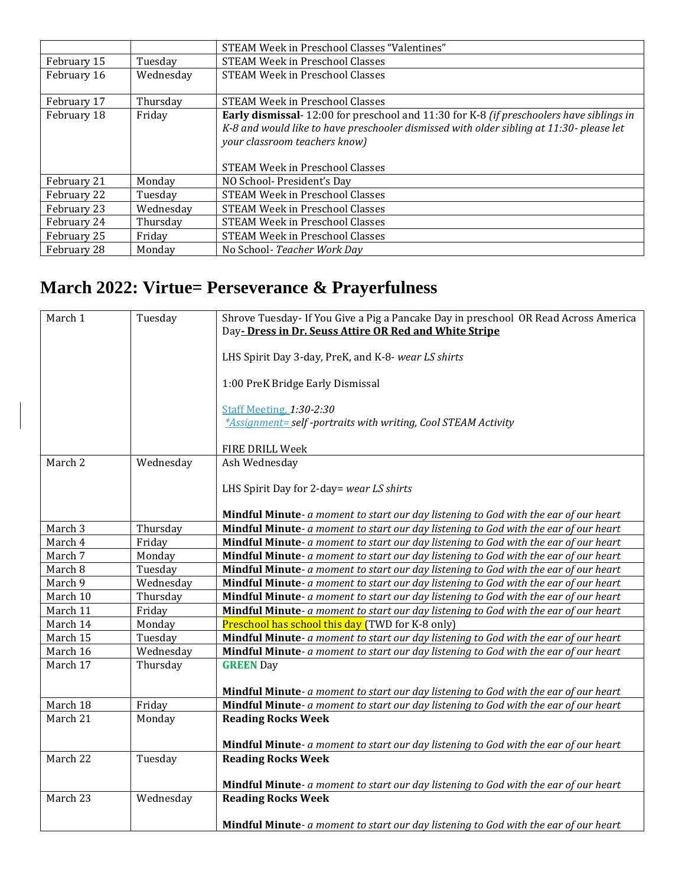|             |           | STEAM Week in Preschool Classes "Valentines"                                                                                                                                                                                                            |
|-------------|-----------|---------------------------------------------------------------------------------------------------------------------------------------------------------------------------------------------------------------------------------------------------------|
| February 15 | Tuesdav   | <b>STEAM Week in Preschool Classes</b>                                                                                                                                                                                                                  |
| February 16 | Wednesday | STEAM Week in Preschool Classes                                                                                                                                                                                                                         |
| February 17 | Thursday  | <b>STEAM Week in Preschool Classes</b>                                                                                                                                                                                                                  |
| February 18 | Friday    | Early dismissal-12:00 for preschool and 11:30 for K-8 (if preschoolers have siblings in<br>K-8 and would like to have preschooler dismissed with older sibling at 11:30- please let<br>your classroom teachers know)<br>STEAM Week in Preschool Classes |
| February 21 | Monday    | NO School-President's Day                                                                                                                                                                                                                               |
| February 22 | Tuesday   | <b>STEAM Week in Preschool Classes</b>                                                                                                                                                                                                                  |
| February 23 | Wednesday | <b>STEAM Week in Preschool Classes</b>                                                                                                                                                                                                                  |
| February 24 | Thursday  | <b>STEAM Week in Preschool Classes</b>                                                                                                                                                                                                                  |
| February 25 | Friday    | STEAM Week in Preschool Classes                                                                                                                                                                                                                         |
| February 28 | Monday    | No School-Teacher Work Day                                                                                                                                                                                                                              |

## **March 2022: Virtue= Perseverance & Prayerfulness**

| March 1  | Tuesday   | Shrove Tuesday- If You Give a Pig a Pancake Day in preschool OR Read Across America<br>Day-Dress in Dr. Seuss Attire OR Red and White Stripe |
|----------|-----------|----------------------------------------------------------------------------------------------------------------------------------------------|
|          |           | LHS Spirit Day 3-day, PreK, and K-8- wear LS shirts                                                                                          |
|          |           | 1:00 PreK Bridge Early Dismissal                                                                                                             |
|          |           | <b>Staff Meeting, 1:30-2:30</b>                                                                                                              |
|          |           | *Assignment= self -portraits with writing, Cool STEAM Activity                                                                               |
|          |           | FIRE DRILL Week                                                                                                                              |
| March 2  | Wednesday | Ash Wednesday                                                                                                                                |
|          |           |                                                                                                                                              |
|          |           | LHS Spirit Day for 2-day= wear LS shirts                                                                                                     |
|          |           | Mindful Minute- a moment to start our day listening to God with the ear of our heart                                                         |
| March 3  | Thursday  | Mindful Minute- a moment to start our day listening to God with the ear of our heart                                                         |
| March 4  | Friday    | Mindful Minute- a moment to start our day listening to God with the ear of our heart                                                         |
| March 7  | Monday    | Mindful Minute- a moment to start our day listening to God with the ear of our heart                                                         |
| March 8  | Tuesday   | Mindful Minute- a moment to start our day listening to God with the ear of our heart                                                         |
| March 9  | Wednesday | Mindful Minute- a moment to start our day listening to God with the ear of our heart                                                         |
| March 10 | Thursday  | Mindful Minute- a moment to start our day listening to God with the ear of our heart                                                         |
| March 11 | Friday    | Mindful Minute- a moment to start our day listening to God with the ear of our heart                                                         |
| March 14 | Monday    | <b>Preschool has school this day</b> (TWD for K-8 only)                                                                                      |
| March 15 | Tuesday   | Mindful Minute- a moment to start our day listening to God with the ear of our heart                                                         |
| March 16 | Wednesday | Mindful Minute- a moment to start our day listening to God with the ear of our heart                                                         |
| March 17 | Thursday  | <b>GREEN</b> Day                                                                                                                             |
|          |           |                                                                                                                                              |
|          |           | <b>Mindful Minute</b> - a moment to start our day listening to God with the ear of our heart                                                 |
| March 18 | Friday    | Mindful Minute- a moment to start our day listening to God with the ear of our heart                                                         |
| March 21 | Monday    | <b>Reading Rocks Week</b>                                                                                                                    |
|          |           | Mindful Minute- a moment to start our day listening to God with the ear of our heart                                                         |
| March 22 | Tuesday   | <b>Reading Rocks Week</b>                                                                                                                    |
|          |           |                                                                                                                                              |
|          |           | Mindful Minute- a moment to start our day listening to God with the ear of our heart                                                         |
| March 23 | Wednesday | <b>Reading Rocks Week</b>                                                                                                                    |
|          |           |                                                                                                                                              |
|          |           | <b>Mindful Minute</b> - a moment to start our day listening to God with the ear of our heart                                                 |